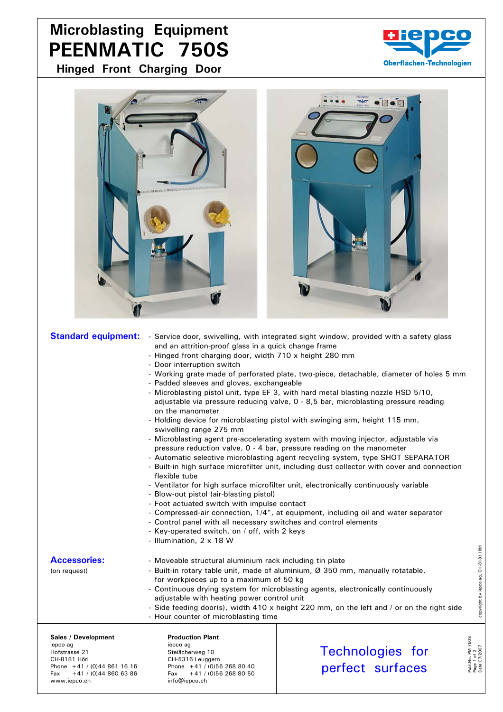## **Microblasting Equipment PEENMATIC 750S**

**Hinged Front Charging Door**





- Padded sleeves and gloves, exchangeable
- Microblasting pistol unit, type EF 3, with hard metal blasting nozzle HSD 5/10, adjustable via pressure reducing valve, 0 - 8,5 bar, microblasting pressure reading on the manometer
- Holding device for microblasting pistol with swinging arm, height 115 mm, swivelling range 275 mm
- Microblasting agent pre-accelerating system with moving injector, adjustable via pressure reduction valve, 0 - 4 bar, pressure reading on the manometer
- Automatic selective microblasting agent recycling system, type SHOT SEPARATOR
- Built-in high surface microfilter unit, including dust collector with cover and connection flexible tube
- Ventilator for high surface microfilter unit, electronically continuously variable
- Blow-out pistol (air-blasting pistol)
- Foot actuated switch with impulse contact
- Compressed-air connection, 1/4", at equipment, including oil and water separator
- Control panel with all necessary switches and control elements
- Key-operated switch, on / off, with 2 keys
- Illumination, 2 x 18 W

- Accessories: **Accessories:** Alloveable structural aluminium rack including tin plate
- (on request) Built-in rotary table unit, made of aluminium,  $\emptyset$  350 mm, manually rotatable, for workpieces up to a maximum of 50 kg
	- Continuous drying system for microblasting agents, electronically continuously adjustable with heating power control unit
	- Side feeding door(s), width 410 x height 220 mm, on the left and / or on the right side
	- Hour counter of microblasting time

Sales / Development **Production Plant** iepco ag iepco ag iepco ag iepco ag iepco ag iepco ag iepco ag iepco ag iepco ag iepco ag iepco ag iepco ag iep CH-8181 Höri CH-5316 Leuggern www.iepco.ch

Steiächerweg 10 Phone  $+41$  / (0)44 861 16 16<br>Fax  $+41$  / (0)44 860 63 86 Fax  $+41$  / (0)56 268 80 50 Fax +41 / (0)44 860 63 86 Fax +41 / (0)56 268 80 50<br>www.iepco.ch info@iepco.ch

Technologies for perfect surfaces

Publ.No. PM 750S Page 1 of 2

Publ.No. PM 75<br>Page 1 of 2<br>Date 07/2007